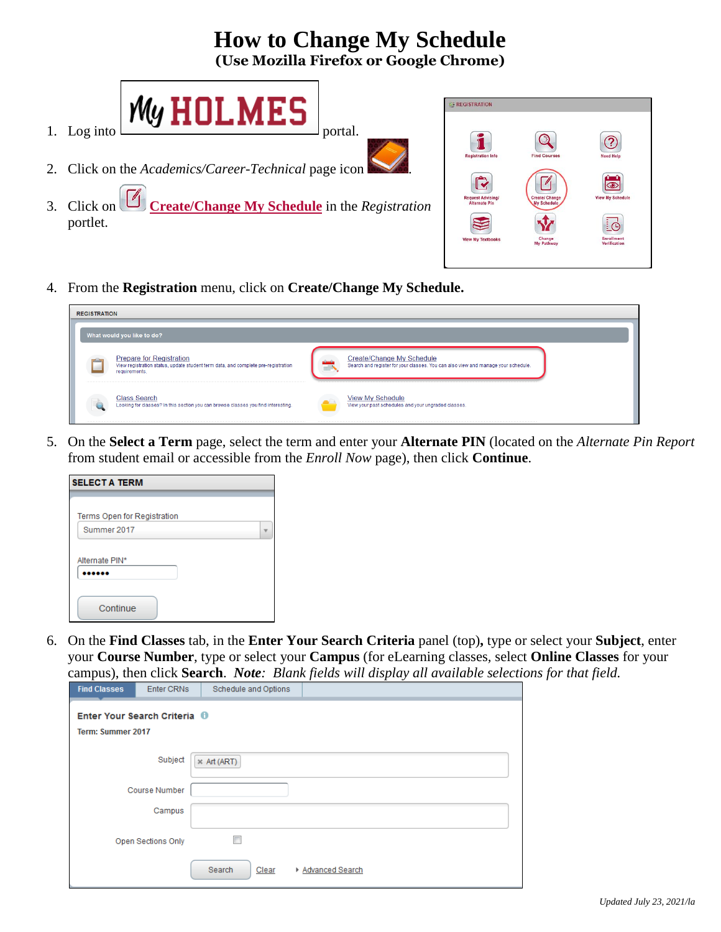# **How to Change My Schedule**

**(Use Mozilla Firefox or Google Chrome)**



- 2. Click on the *Academics/Career-Technical* page icon .
- 3. Click on **Create/Change My Schedule** in the *Registration* portlet.



4. From the **Registration** menu, click on **Create/Change My Schedule.**

| <b>REGISTRATION</b> |                                                                                                                                       |            |                                                                                                                |
|---------------------|---------------------------------------------------------------------------------------------------------------------------------------|------------|----------------------------------------------------------------------------------------------------------------|
|                     | What would you like to do?                                                                                                            |            |                                                                                                                |
|                     | <b>Prepare for Registration</b><br>View registration status, update student term data, and complete pre-registration<br>requirements. | <b>TIP</b> | Create/Change My Schedule<br>Search and register for your classes. You can also view and manage your schedule. |
|                     | <b>Class Search</b><br>Looking for classes? In this section you can browse classes you find interesting.                              |            | <b>View My Schedule</b><br>View your past schedules and your ungraded classes.                                 |

5. On the **Select a Term** page, select the term and enter your **Alternate PIN** (located on the *Alternate Pin Report* from student email or accessible from the *Enroll Now* page), then click **Continue**.

| <b>SELECT A TERM</b>        |  |
|-----------------------------|--|
|                             |  |
| Terms Open for Registration |  |
| Summer 2017                 |  |
| Alternate PIN*              |  |
| Continue                    |  |

6. On the **Find Classes** tab, in the **Enter Your Search Criteria** panel (top)**,** type or select your **Subject**, enter your **Course Number**, type or select your **Campus** (for eLearning classes*,* select **Online Classes** for your campus), then click **Search**. *Note: Blank fields will display all available selections for that field.* 

| <b>Find Classes</b> | <b>Enter CRNs</b>            | Schedule and Options |                   |
|---------------------|------------------------------|----------------------|-------------------|
| Term: Summer 2017   | Enter Your Search Criteria 0 |                      |                   |
|                     | Subject                      | $*$ Art (ART)        |                   |
|                     | <b>Course Number</b>         |                      |                   |
|                     | Campus                       |                      |                   |
|                     | <b>Open Sections Only</b>    | г                    |                   |
|                     |                              | Search<br>Clear      | ▶ Advanced Search |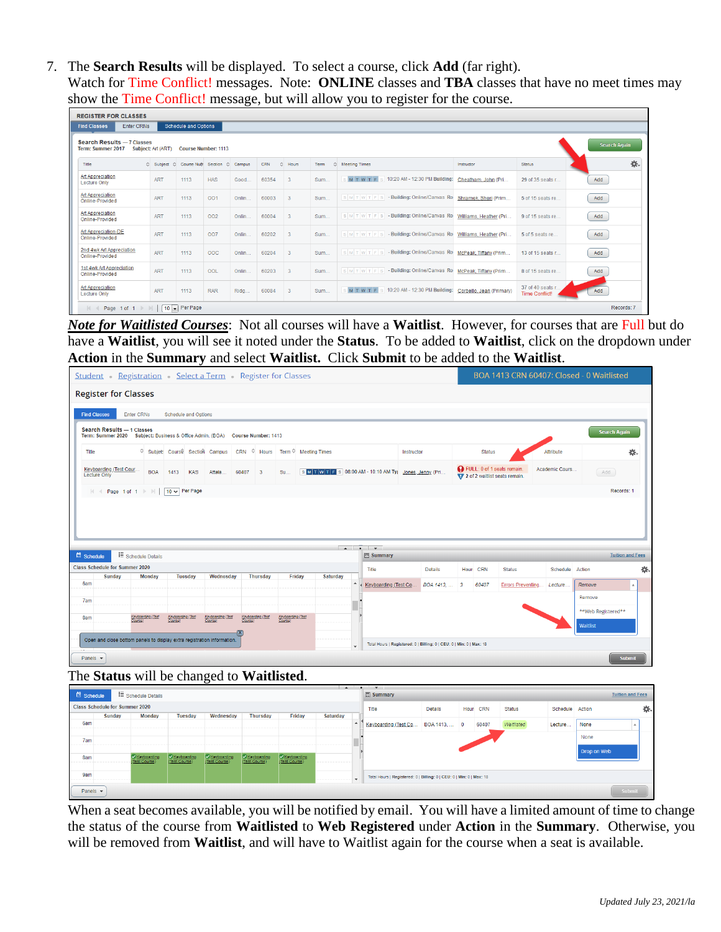7. The **Search Results** will be displayed. To select a course, click **Add** (far right). Watch for Time Conflict! messages. Note: **ONLINE** classes and **TBA** classes that have no meet times may show the Time Conflict! message, but will allow you to register for the course.

| $\frac{1}{2}$ common increase $\frac{1}{2}$ . The wind $\frac{1}{2}$<br>$5 - 10 - 10 = 10$                                 |              |                             |            |       |       |                |            |                                                                    |                        |                                           |            |  |  |  |
|----------------------------------------------------------------------------------------------------------------------------|--------------|-----------------------------|------------|-------|-------|----------------|------------|--------------------------------------------------------------------|------------------------|-------------------------------------------|------------|--|--|--|
| <b>REGISTER FOR CLASSES</b>                                                                                                |              |                             |            |       |       |                |            |                                                                    |                        |                                           |            |  |  |  |
| <b>Enter CRNs</b><br><b>Find Classes</b>                                                                                   |              | <b>Schedule and Options</b> |            |       |       |                |            |                                                                    |                        |                                           |            |  |  |  |
| <b>Search Results - 7 Classes</b><br><b>Search Again</b><br>Term: Summer 2017<br>Subject: Art (ART)<br>Course Number: 1113 |              |                             |            |       |       |                |            |                                                                    |                        |                                           |            |  |  |  |
| 券.<br>Subject & Course Nufr Section & Campus<br>CRN<br>☆ Hours<br>☆ Meeting Times<br>Title<br>Status<br>Term<br>Instructor |              |                             |            |       |       |                |            |                                                                    |                        |                                           |            |  |  |  |
| <b>Art Appreciation</b><br><b>Lecture Only</b>                                                                             | <b>ART</b>   | 1113                        | <b>HAS</b> | Good  | 60354 | 3              | Sum        | s 10:20 AM - 12:30 PM Building:<br>M T W T F                       | Cheatham, John (Pri    | 29 of 35 seats r                          | Add        |  |  |  |
| Art Appreciation<br>Online-Provided                                                                                        | <b>ART</b>   | 1113                        | 001        | Onlin | 60003 | 3              | <b>Sum</b> | SMTWTFS-Building: Online/Canvas Ro                                 | Shramek, Sheri (Prim   | 5 of 15 seats re                          | Add        |  |  |  |
| Art Appreciation<br>Online-Provided                                                                                        | <b>ART</b>   | 1113                        | 002        | Onlin | 60004 | $\overline{3}$ | Sum        | SMTWTFS-Building: Online/Canvas Ro                                 | Williams, Heather (Pri | 9 of 15 seats re                          | Add        |  |  |  |
| Art Appreciation-DE<br>Online-Provided                                                                                     | <b>ART</b>   | 1113                        | 007        | Onlin | 60202 | 3              | <b>Sum</b> | SMTWTFS-Building: Online/Canvas Ro Williams. Heather (Pri          |                        | 5 of 5 seats re                           | Add        |  |  |  |
| 2nd 4wk Art Appreciation<br>Online-Provided                                                                                | <b>ART</b>   | 1113                        | <b>OOC</b> | Onlin | 60204 | 3              | Sum        | SMTWTFS-Building: Online/Canvas Ro                                 | McPeak, Tiffany (Prim  | 13 of 15 seats r                          | Add        |  |  |  |
| 1st 4wk Art Appreciation<br>Online-Provided                                                                                | <b>ART</b>   | 1113                        | OOL        | Onlin | 60203 | 3              | Sum        | SMTWTFS-Building: Online/Canvas Ro McPeak, Tiffany (Prim           |                        | 8 of 15 seats re                          | Add        |  |  |  |
| <b>Art Appreciation</b><br><b>Lecture Only</b>                                                                             | <b>ART</b>   | 1113                        | <b>RAR</b> | Ridg  | 60084 | 3              | <b>Sum</b> | M T W T F S 10:20 AM - 12:30 PM Building: Corbello, Jean (Primary) |                        | 37 of 40 seats r<br><b>Time Conflict!</b> | Add        |  |  |  |
| 44<br>Page 1 of 1                                                                                                          | $\mathbb{R}$ | 10 - Per Page               |            |       |       |                |            |                                                                    |                        |                                           | Records: 7 |  |  |  |

*Note for Waitlisted Courses*: Not all courses will have a **Waitlist**. However, for courses that are Full but do have a **Waitlist**, you will see it noted under the **Status**. To be added to **Waitlist**, click on the dropdown under **Action** in the **Summary** and select **Waitlist.** Click **Submit** to be added to the **Waitlist**.

|                                                                                                                                                                    |                             | Student Registration Select a Term Register for Classes |                                   |          |                                                                  |                                                         |                                                                      |                                                              |                          |                | BOA 1413 CRN 60407: Closed - 0 Waitlisted |
|--------------------------------------------------------------------------------------------------------------------------------------------------------------------|-----------------------------|---------------------------------------------------------|-----------------------------------|----------|------------------------------------------------------------------|---------------------------------------------------------|----------------------------------------------------------------------|--------------------------------------------------------------|--------------------------|----------------|-------------------------------------------|
| <b>Register for Classes</b>                                                                                                                                        |                             |                                                         |                                   |          |                                                                  |                                                         |                                                                      |                                                              |                          |                |                                           |
| <b>Enter CRNs</b><br><b>Find Classes</b>                                                                                                                           | <b>Schedule and Options</b> |                                                         |                                   |          |                                                                  |                                                         |                                                                      |                                                              |                          |                |                                           |
| Search Results - 1 Classes<br>Term: Summer 2020 Subject: Business & Office Admin. (BOA) Course Number: 1413                                                        |                             |                                                         |                                   |          |                                                                  |                                                         |                                                                      |                                                              |                          |                | <b>Search Again</b>                       |
| Title                                                                                                                                                              |                             |                                                         |                                   |          | © Subject Course Section Campus CRN © Hours Term © Meeting Times |                                                         | Instructor                                                           | <b>Status</b>                                                |                          | Attribute      | 焱.                                        |
| Keyboarding (Test Cour<br><b>BOA</b><br><b>Lecture Only</b>                                                                                                        | 1413<br><b>KAS</b>          | Attala                                                  | 60407<br>$\overline{\phantom{a}}$ | Su       |                                                                  | S M T W T E S 08:00 AM - 10:10 AM Tyl Jones, Jenny (Pri |                                                                      | FULL: 0 of 1 seats remain<br>7 2 of 2 waitlist seats remain. |                          | Academic Cours | Add                                       |
| $\mathbb{N}$ $\leftarrow$ Page 1 of 1 $\mathbb{N}$                                                                                                                 | 10 v Per Page               |                                                         |                                   |          |                                                                  |                                                         |                                                                      |                                                              |                          |                | Records: 1                                |
|                                                                                                                                                                    |                             |                                                         |                                   |          |                                                                  | $\sim$<br>$\bullet$ $\bullet$                           |                                                                      |                                                              |                          |                |                                           |
| : Schedule Details                                                                                                                                                 |                             |                                                         |                                   |          |                                                                  | <b>同 Summary</b>                                        |                                                                      |                                                              |                          |                | <b>Tuition and Fees</b>                   |
|                                                                                                                                                                    |                             |                                                         |                                   |          |                                                                  | Title                                                   | <b>Details</b>                                                       | Hour CRN                                                     | <b>Status</b>            | Schedule       | Action                                    |
| Sunday<br>Monday                                                                                                                                                   | Tuesday                     | Wednesday                                               |                                   | Thursday | Friday                                                           | Saturday<br>Keyboarding (Test Co.                       | BOA 1413.                                                            | 60407<br>3                                                   | <b>Errors Preventing</b> | Lecture.       | Remove                                    |
|                                                                                                                                                                    |                             |                                                         |                                   |          |                                                                  |                                                         |                                                                      |                                                              |                          |                | Remove                                    |
|                                                                                                                                                                    |                             |                                                         |                                   |          |                                                                  |                                                         |                                                                      |                                                              |                          |                | **Web Registered**                        |
| Keyboarding (Test<br>Course)                                                                                                                                       | Keyboarding (Test           | Keyboarding (Test                                       | Keyboarding (Test<br>Course       | Course)  | Keyboarding (Test                                                |                                                         |                                                                      |                                                              |                          |                | <b>Waitlist</b>                           |
|                                                                                                                                                                    |                             |                                                         |                                   |          |                                                                  |                                                         |                                                                      |                                                              |                          |                |                                           |
| schedule<br><b>Class Schedule for Summer 2020</b><br>6am<br>7am<br>8am<br>Open and close bottom panels to display extra registration information.<br>Panels $\sim$ |                             |                                                         |                                   |          |                                                                  | $\mathbf{v}$                                            | Total Hours   Registered: 0   Billing: 0   CEU: 0   Min: 0   Max: 18 |                                                              |                          |                | <b>Submit</b>                             |

| Schedule                    |                                       | Schedule Details |                              |                              |                              |                              |                 | $\overline{\phantom{a}}$ | $\mathbf{v}$<br>图 Summary                                            |                |          |               |                 | <b>Tuition and Fees</b> |    |
|-----------------------------|---------------------------------------|------------------|------------------------------|------------------------------|------------------------------|------------------------------|-----------------|--------------------------|----------------------------------------------------------------------|----------------|----------|---------------|-----------------|-------------------------|----|
|                             | <b>Class Schedule for Summer 2020</b> |                  |                              |                              |                              |                              |                 |                          | Title                                                                | <b>Details</b> | Hour CRN | <b>Status</b> | Schedule Action |                         | 杂. |
|                             | <b>Sunday</b>                         | <b>Monday</b>    | <b>Tuesday</b>               | Wednesday                    | <b>Thursday</b>              | Friday                       | <b>Saturday</b> |                          |                                                                      |                |          |               |                 |                         |    |
| 6am                         |                                       |                  |                              |                              |                              |                              |                 |                          | Keyboarding (Test Co.                                                | BOA 1413,  0   | 60407    | Waitlisted    | Lecture         | None                    | ×  |
| 7am                         |                                       |                  |                              |                              |                              |                              |                 |                          |                                                                      |                |          |               |                 | None                    |    |
| 8am                         |                                       | Keyboarding      | Keyboarding<br>(Test Course) | Keyboarding<br>(Test Course) | Keyboarding<br>(Test Course) | Keyboarding<br>(Test Course) |                 |                          |                                                                      |                |          |               |                 | Drop on Web             |    |
| <b>9am</b>                  |                                       |                  |                              |                              |                              |                              |                 | $\overline{\phantom{a}}$ | Total Hours   Registered: 0   Billing: 0   CEU: 0   Min: 0   Max: 18 |                |          |               |                 |                         |    |
| Panels $\blacktriangledown$ |                                       |                  |                              |                              |                              |                              |                 |                          |                                                                      |                |          |               |                 | Submit                  |    |

When a seat becomes available, you will be notified by email. You will have a limited amount of time to change the status of the course from **Waitlisted** to **Web Registered** under **Action** in the **Summary**. Otherwise, you will be removed from **Waitlist**, and will have to Waitlist again for the course when a seat is available.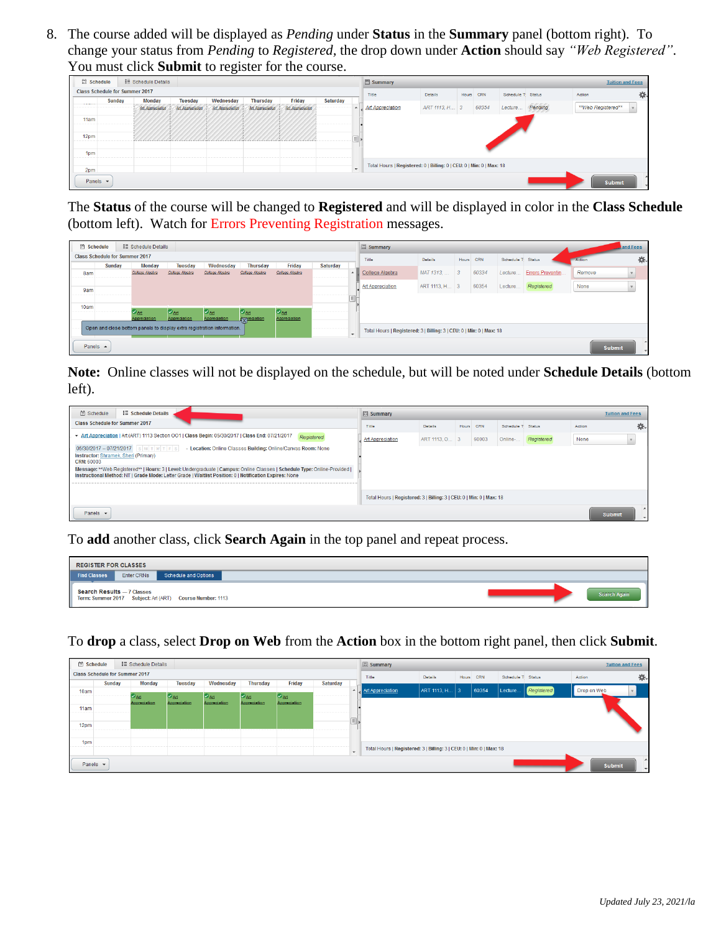8. The course added will be displayed as *Pending* under **Status** in the **Summary** panel (bottom right). To change your status from *Pending* to *Registered,* the drop down under **Action** should say *"Web Registered"*. You must click **Submit** to register for the course.

| Schedule                    |        | i≣ Schedule Details                   |                  |                  |                  |                  |                 |         | Summary                                                              |                |       |       |                   |         | <b>Tuition and Fees</b> |    |
|-----------------------------|--------|---------------------------------------|------------------|------------------|------------------|------------------|-----------------|---------|----------------------------------------------------------------------|----------------|-------|-------|-------------------|---------|-------------------------|----|
|                             |        | <b>Class Schedule for Summer 2017</b> |                  |                  |                  |                  |                 |         | Title                                                                | <b>Details</b> | Hours | CRN   | Schedule T Status |         | Action                  | 杂. |
| <b>STATISTICS</b>           | Sunday | <b>Monday</b>                         | <b>Tuesday</b>   | Wednesday        | <b>Thursday</b>  | Friday           | <b>Saturday</b> |         |                                                                      |                |       |       |                   |         |                         |    |
|                             |        | Art Appreciation                      | Art Appreciation | Art Appreciation | Art Appreciation | Art Appreciation |                 |         | <b>Art Appreciation</b>                                              | ART 1113, H 3  |       | 60354 | Lecture           | Pending | **Web Registered**      |    |
| 11am                        |        |                                       |                  |                  |                  |                  |                 |         |                                                                      |                |       |       |                   |         |                         |    |
| 12pm                        |        |                                       |                  |                  |                  |                  |                 |         |                                                                      |                |       |       |                   |         |                         |    |
| 1pm                         |        |                                       |                  |                  |                  |                  |                 |         |                                                                      |                |       |       |                   |         |                         |    |
| 2pm                         |        |                                       |                  |                  |                  |                  |                 | $\cdot$ | Total Hours   Registered: 0   Billing: 0   CEU: 0   Min: 0   Max: 18 |                |       |       |                   |         |                         |    |
| Panels $\blacktriangledown$ |        |                                       |                  |                  |                  |                  |                 |         |                                                                      |                |       |       |                   |         | <b>Submit</b>           |    |

The **Status** of the course will be changed to **Registered** and will be displayed in color in the **Class Schedule** (bottom left). Watch for Errors Preventing Registration messages.

| <b>Schedule</b>    |                                       | : Schedule Details                 |                                              |                                                                         |                                                               |                                            |          |                          | Summary                                                              |                 |                         |            |                    |                  |        | and Fees |                          |
|--------------------|---------------------------------------|------------------------------------|----------------------------------------------|-------------------------------------------------------------------------|---------------------------------------------------------------|--------------------------------------------|----------|--------------------------|----------------------------------------------------------------------|-----------------|-------------------------|------------|--------------------|------------------|--------|----------|--------------------------|
|                    | <b>Class Schedule for Summer 2017</b> |                                    |                                              |                                                                         |                                                               |                                            |          |                          | Title                                                                | <b>Details</b>  | Hours                   | <b>CRN</b> | Schedule T: Status |                  | Action |          | 券.                       |
|                    | Sunday                                | Monday                             | <b>Tuesday</b>                               | Wednesday                                                               | <b>Thursday</b>                                               | Friday                                     | Saturday |                          |                                                                      |                 |                         |            |                    |                  |        |          |                          |
| 8am                |                                       | College Algebra                    | College Algebra                              | College Algebra                                                         | College Algebra                                               | College Algebra                            |          | A                        | College Algebra                                                      | MAT 1313,       | $\overline{\mathbf{3}}$ | 60334      | Lecture            | Errors Preventin | Remove |          |                          |
|                    |                                       |                                    |                                              |                                                                         |                                                               |                                            |          |                          | <b>Art Appreciation</b>                                              | ART 1113, H., 3 |                         | 60354      | Lecture            | Registered       | None   |          |                          |
| 9am                |                                       |                                    |                                              |                                                                         |                                                               |                                            |          |                          |                                                                      |                 |                         |            |                    |                  |        |          |                          |
| 10am               |                                       |                                    |                                              |                                                                         |                                                               |                                            |          |                          |                                                                      |                 |                         |            |                    |                  |        |          |                          |
|                    |                                       | $\sigma_{\rm Art}$<br>Appreciation | $\mathcal{P}_{\mathsf{Art}}$<br>Appreciation | $\sigma_{\text{Art}}$<br>Appreciation                                   | $\mathcal{P}_{\text{Art}}$<br><b>A</b> <sub>V</sub> recistion | $\mathcal{D}_{\text{Art}}$<br>Appreciation |          |                          |                                                                      |                 |                         |            |                    |                  |        |          |                          |
|                    |                                       |                                    |                                              | Open and close bottom panels to display extra registration information. |                                                               |                                            |          | $\overline{\phantom{a}}$ | Total Hours   Registered: 3   Billing: 3   CEU: 0   Min: 0   Max: 18 |                 |                         |            |                    |                  |        |          |                          |
| Panels $\triangle$ |                                       |                                    |                                              |                                                                         |                                                               |                                            |          |                          |                                                                      |                 |                         |            |                    |                  | Submit |          | $\overline{\phantom{a}}$ |

**Note:** Online classes will not be displayed on the schedule, but will be noted under **Schedule Details** (bottom left).

| □ Schedule<br><b>E</b> Schedule Details                                                                                                                                                                                                                                                                                                                                                        | <b>同 Summary</b>                                                     |                 |       |            |                   |            |               | <b>Tuition and Fees</b>  |
|------------------------------------------------------------------------------------------------------------------------------------------------------------------------------------------------------------------------------------------------------------------------------------------------------------------------------------------------------------------------------------------------|----------------------------------------------------------------------|-----------------|-------|------------|-------------------|------------|---------------|--------------------------|
| <b>Class Schedule for Summer 2017</b>                                                                                                                                                                                                                                                                                                                                                          | Title                                                                | <b>Details</b>  | Hours | <b>CRN</b> | Schedule T Status |            | Action        | ю.                       |
| ▼ Art Appreciation   Art (ART) 1113 Section OO1   Class Begin: 05/30/2017   Class End: 07/21/2017<br>Registered                                                                                                                                                                                                                                                                                | Art Appreciation                                                     | ART 1113, O., 3 |       | 60003      | Online-           | Registered | None          |                          |
| 05/30/2017 - 07/21/2017 SMTWTFS<br>- Location: Online Classes Building: Online/Canvas Room: None<br>Instructor: Shramek, Sheri (Primary)<br>CRN: 60003<br>Message: **Web Registered**   Hours: 3   Level: Undergraduate   Campus: Online Classes   Schedule Type: Online-Provided  <br>Instructional Method: NT   Grade Mode: Letter Grade   Waitlist Position: 0   Notification Expires: None |                                                                      |                 |       |            |                   |            |               |                          |
|                                                                                                                                                                                                                                                                                                                                                                                                | Total Hours   Registered: 3   Billing: 3   CEU: 0   Min: 0   Max: 18 |                 |       |            |                   |            |               |                          |
| Panels $\blacktriangledown$                                                                                                                                                                                                                                                                                                                                                                    |                                                                      |                 |       |            |                   |            | <b>Submit</b> | $\overline{\phantom{a}}$ |

To **add** another class, click **Search Again** in the top panel and repeat process.

| <b>REGISTER FOR CLASSES</b> |                                                                                              |                     |
|-----------------------------|----------------------------------------------------------------------------------------------|---------------------|
| <b>Find Classes</b>         | Enter CRNs<br>Schedule and Options                                                           |                     |
|                             | Search Results - 7 Classes<br>Term: Summer 2017    Subject: Art (ART)    Course Number: 1113 | <b>Search Again</b> |

To **drop** a class, select **Drop on Web** from the **Action** box in the bottom right panel, then click **Submit**.

| Schedule      |                                       | : Schedule Details |                    |                    |                    |                    |                 | <b>El Summary</b> |                                                                      |                |           |                   |            | <b>Tuition and Fees</b> |                  |
|---------------|---------------------------------------|--------------------|--------------------|--------------------|--------------------|--------------------|-----------------|-------------------|----------------------------------------------------------------------|----------------|-----------|-------------------|------------|-------------------------|------------------|
|               | <b>Class Schedule for Summer 2017</b> |                    |                    |                    |                    |                    |                 |                   | Title                                                                | <b>Details</b> | Hours CRN | Schedule T Status |            | Action                  | 券.               |
|               | <b>Sunday</b>                         | <b>Monday</b>      | <b>Tuesday</b>     | Wednesday          | <b>Thursday</b>    | Friday             | <b>Saturday</b> |                   |                                                                      |                |           |                   |            |                         |                  |
| 10am          |                                       | $\bullet$ Art      | $\sigma_{\rm Art}$ | $\sigma_{\rm Art}$ | $\sigma_{\rm Art}$ | $ O_{\text{Art}} $ |                 |                   | $\sim$ Art Appreciation                                              | ART 1113, H 3  | 60354     | Lecture.          | Registered | Drop on Web             |                  |
|               |                                       | Appreciation       | Appreciation       | Appreciation       | Appreciation       | Appreciation       |                 |                   |                                                                      |                |           |                   |            |                         |                  |
| 11am          |                                       |                    |                    |                    |                    |                    |                 |                   |                                                                      |                |           |                   |            |                         |                  |
| 12pm          |                                       |                    |                    |                    |                    |                    |                 | $\equiv$          |                                                                      |                |           |                   |            |                         |                  |
|               |                                       |                    |                    |                    |                    |                    |                 |                   |                                                                      |                |           |                   |            |                         |                  |
| 1pm           |                                       |                    |                    |                    |                    |                    |                 |                   |                                                                      |                |           |                   |            |                         |                  |
|               |                                       |                    |                    |                    |                    |                    |                 | $\cdot$           | Total Hours   Registered: 3   Billing: 3   CEU: 0   Min: 0   Max: 18 |                |           |                   |            |                         |                  |
|               |                                       |                    |                    |                    |                    |                    |                 |                   |                                                                      |                |           |                   |            |                         | $\blacktriangle$ |
| Panels $\sim$ |                                       |                    |                    |                    |                    |                    |                 |                   |                                                                      |                |           |                   |            |                         | Submit<br>$\sim$ |